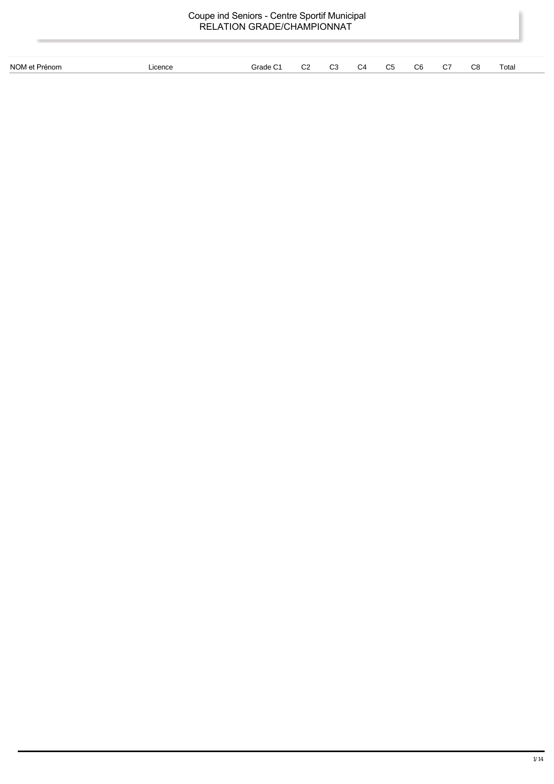| Coupe ind Seniors - Centre Sportif Municipal<br>RELATION GRADE/CHAMPIONNAT |         |                      |                |                |                |                |                |    |    |       |  |
|----------------------------------------------------------------------------|---------|----------------------|----------------|----------------|----------------|----------------|----------------|----|----|-------|--|
|                                                                            |         |                      |                |                |                |                |                |    |    |       |  |
| NOM et Prénom                                                              | Licence | Grade C <sub>1</sub> | C <sub>2</sub> | C <sub>3</sub> | C <sub>4</sub> | C <sub>5</sub> | C <sub>6</sub> | C7 | C8 | Total |  |
|                                                                            |         |                      |                |                |                |                |                |    |    |       |  |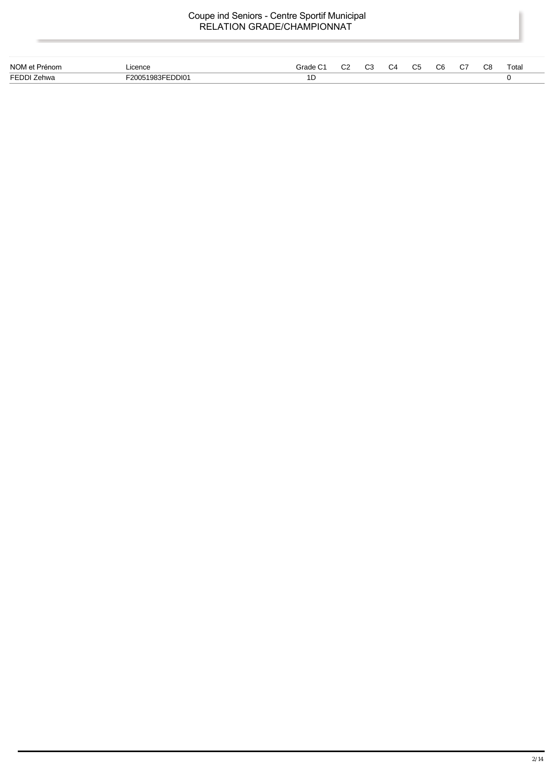| NOM et Pré<br>rénom | Licence<br>.    | ∵rode | $\sim$<br>◡∠ | ົ<br>ັັ | <br>$\sim$<br>ັບ | ົ<br>◡ | C <sub>8</sub> | Total<br>. |
|---------------------|-----------------|-------|--------------|---------|------------------|--------|----------------|------------|
| F F N N 76          | 101מפפרי<br>חחפ | 1D    |              |         |                  |        |                |            |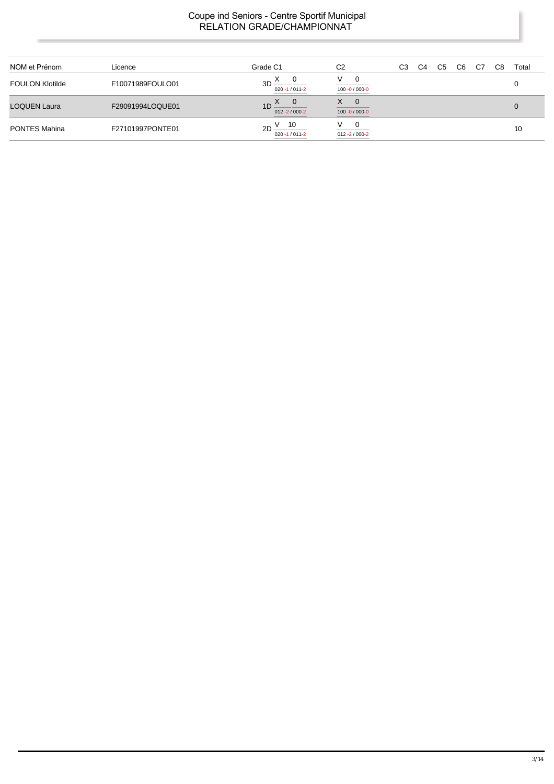| NOM et Prénom          | Licence          | Grade C1                              | C <sub>2</sub>                           | CЗ | C4 | C5 | C <sub>6</sub> | C7 | C8 | Total |
|------------------------|------------------|---------------------------------------|------------------------------------------|----|----|----|----------------|----|----|-------|
| <b>FOULON Klotilde</b> | F10071989FOULO01 | $3D^{\prime\prime}$<br>020 -1 / 011-2 | V<br>0<br>100 -0 / 000-0                 |    |    |    |                |    |    |       |
| <b>LOQUEN Laura</b>    | F29091994LOQUE01 | $1D^{\Delta}$<br>$012 - 2 / 000 - 2$  | X.<br>$\mathbf 0$<br>$100 - 0 / 000 - 0$ |    |    |    |                |    |    |       |
| <b>PONTES Mahina</b>   | F27101997PONTE01 | - 10<br>2D<br>$020 - 1/011 - 2$       | 0<br>v<br>$012 - 2 / 000 - 2$            |    |    |    |                |    |    | 10    |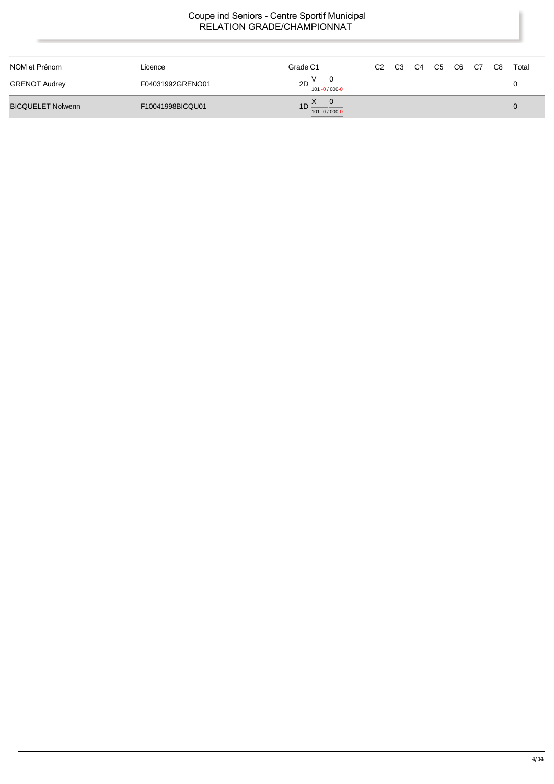| NOM et Prénom            | Licence          | Grade C1                                            | C <sub>2</sub> | C <sub>3</sub> | C4 | C5 | C6 | C7 | C <sub>8</sub> | Total |
|--------------------------|------------------|-----------------------------------------------------|----------------|----------------|----|----|----|----|----------------|-------|
| <b>GRENOT Audrey</b>     | F04031992GRENO01 | $\mathsf{o}$<br>$2D -$<br>101 -0 / 000-0            |                |                |    |    |    |    |                |       |
| <b>BICQUELET Nolwenn</b> | F10041998BICQU01 | $\overline{0}$<br>$\overline{10}$<br>101 -0 / 000-0 |                |                |    |    |    |    |                |       |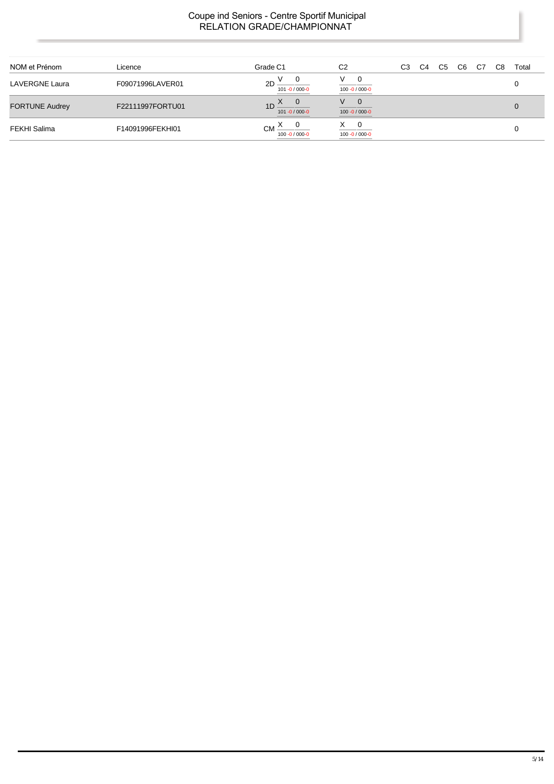| NOM et Prénom         | Licence          | Grade C1                              | C <sub>2</sub>                             | C <sub>3</sub> | C <sub>4</sub> | C <sub>5</sub> | C6 | C7 | C8 | Total |
|-----------------------|------------------|---------------------------------------|--------------------------------------------|----------------|----------------|----------------|----|----|----|-------|
| <b>LAVERGNE Laura</b> | F09071996LAVER01 | 2D<br>101 -0 / 000-0                  | V<br>$\overline{0}$<br>100 -0 / 000-0      |                |                |                |    |    |    |       |
| <b>FORTUNE Audrey</b> | F22111997FORTU01 | $1D^2$<br>$101 - 0 / 000 - 0$         | V<br>$\overline{0}$<br>$100 - 0 / 000 - 0$ |                |                |                |    |    |    |       |
| FEKHI Salima          | F14091996FEKHI01 | $CM \triangle$<br>$100 - 0 / 000 - 0$ | X.<br>$\overline{0}$<br>100 -0 / 000-0     |                |                |                |    |    |    |       |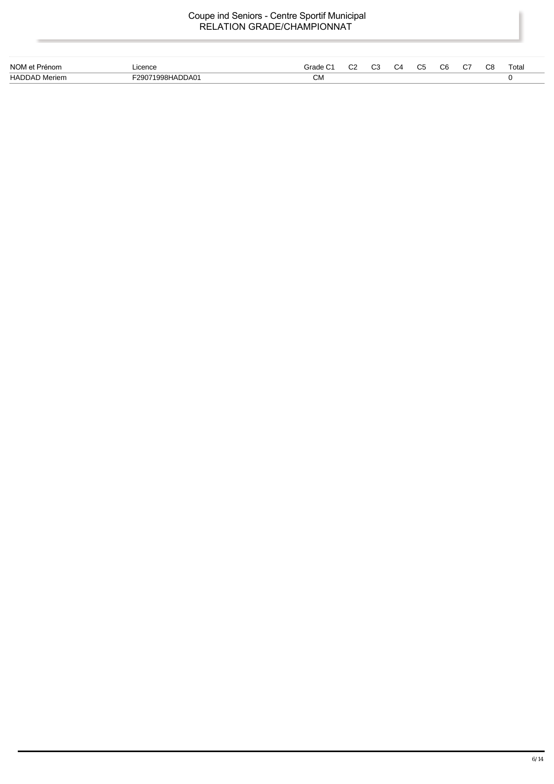| NOM et Prénom        | Licence             | Gradel | ro<br>UZ | C <sub>3</sub> | C4 | C5 | C6 | ~-<br>، ب | C8 | Totai |
|----------------------|---------------------|--------|----------|----------------|----|----|----|-----------|----|-------|
| <b>HADDAD Meriem</b> | 998HADDA01<br>-290. | СМ     |          |                |    |    |    |           |    |       |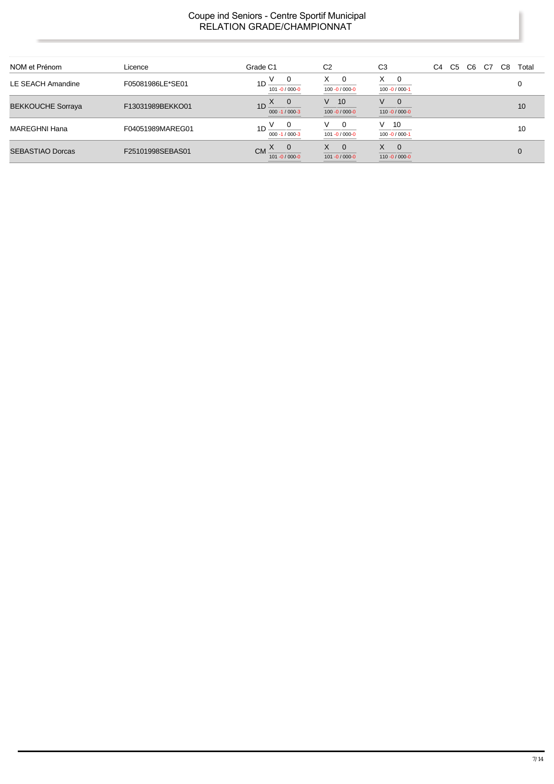| NOM et Prénom            | Licence          | Grade C1                                           | C <sub>2</sub>                                  | C <sub>3</sub>                           | C6<br>C7<br>C5<br>C8<br>C4 | Total |
|--------------------------|------------------|----------------------------------------------------|-------------------------------------------------|------------------------------------------|----------------------------|-------|
| LE SEACH Amandine        | F05081986LE*SE01 | 0<br>1 <sub>D</sub><br>101 -0 / 000-0              | X<br>$\overline{\phantom{0}}$<br>100 -0 / 000-0 | X<br>0<br>100 -0 / 000-1                 |                            |       |
| <b>BEKKOUCHE Sorraya</b> | F13031989BEKKO01 | - 0<br>$1D \stackrel{X}{=}$<br>$000 - 1 / 000 - 3$ | 10<br>V.<br>$100 - 0 / 000 - 0$                 | V<br>$\mathbf{0}$<br>$110 - 0 / 000 - 0$ |                            | 10    |
| <b>MAREGHNI Hana</b>     | F04051989MAREG01 | 1 <sub>D</sub><br>$000 - 1 / 000 - 3$              | - 0<br>v<br>101 -0 / 000-0                      | $V$ 10<br>$100 - 0 / 000 - 1$            |                            | 10    |
| <b>SEBASTIAO Dorcas</b>  | F25101998SEBAS01 | 0<br>CM -<br>$101 - 0 / 000 - 0$                   | X.<br>$\overline{0}$<br>$101 - 0 / 000 - 0$     | X.<br>$\mathbf 0$<br>$110 - 0 / 000 - 0$ |                            |       |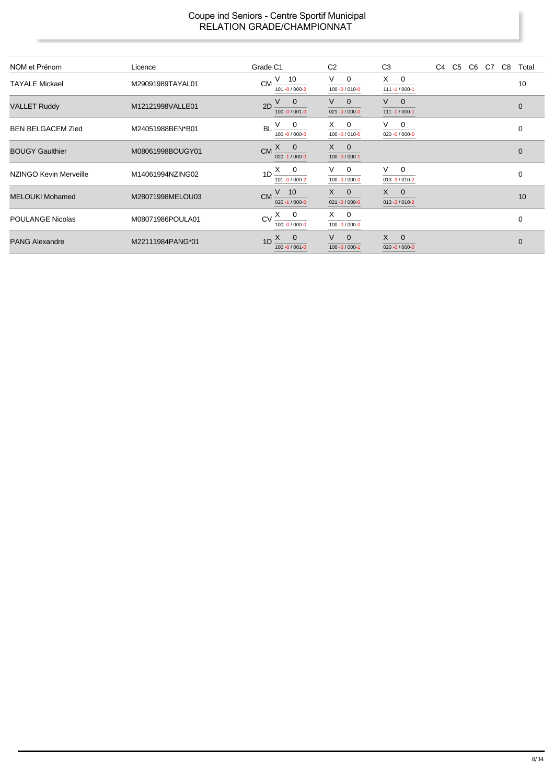| NOM et Prénom            | Licence          | Grade C1                                      | C <sub>2</sub>                                   | C <sub>3</sub>                     | C4 C5 C6 C7 C8 Total |              |
|--------------------------|------------------|-----------------------------------------------|--------------------------------------------------|------------------------------------|----------------------|--------------|
| <b>TAYALE Mickael</b>    | M29091989TAYAL01 | $CM \frac{V}{I}$ 10<br>101-0/000-2            | V.<br>$\mathbf 0$<br>100 -0 / 010-0              | $X \t 0$<br>$111 - 1 / 000 - 1$    |                      | 10           |
| <b>VALLET Ruddy</b>      | M12121998VALLE01 | $2D \frac{V}{V}$ 0<br>$100 - 0 / 001 - 0$     | V.<br>$\overline{\phantom{0}}$<br>021 -0 / 000-0 | $V \quad 0$<br>$111 - 1 / 000 - 1$ |                      | $\mathbf 0$  |
| <b>BEN BELGACEM Zied</b> | M24051988BEN*B01 | BL $\frac{V}{100 - 0/000 - 0}$                | $X \quad 0$<br>$100 - 0 / 010 - 0$               | $V \quad 0$<br>$020 - 0 / 000 - 0$ |                      | 0            |
| <b>BOUGY Gaulthier</b>   | M08061998BOUGY01 | $CM \xrightarrow{X} 0$<br>$020 - 1 / 000 - 0$ | $X \quad 0$<br>$100 - 0 / 000 - 1$               |                                    |                      | $\mathbf 0$  |
| NZINGO Kevin Merveille   | M14061994NZING02 | $1D \xrightarrow{X} 0$<br>101-0/000-2         | $V \quad 0$<br>100 -0 / 000-0                    | $V \t 0$<br>$013 - 3 / 010 - 2$    |                      | $\mathbf 0$  |
| <b>MELOUKI Mohamed</b>   | M28071998MELOU03 | $CM \frac{V}{V}$ 10<br>$020 - 1 / 000 - 0$    | $X \quad 0$<br>$021 - 0 / 000 - 0$               | $X \quad 0$<br>$013 - 3 / 010 - 2$ |                      | 10           |
| <b>POULANGE Nicolas</b>  | M08071986POULA01 | $CV \xrightarrow{X} 0$<br>$100 - 0 / 000 - 0$ | $X \quad 0$<br>$100 - 0 / 000 - 0$               |                                    |                      | 0            |
| <b>PANG Alexandre</b>    | M22111984PANG*01 | $1D \frac{X}{Y}$ 0<br>$100 - 0 / 001 - 0$     | $V \quad 0$<br>$100 - 0 / 000 - 1$               | $X \quad 0$<br>$020 - 0 / 000 - 0$ |                      | $\mathbf{0}$ |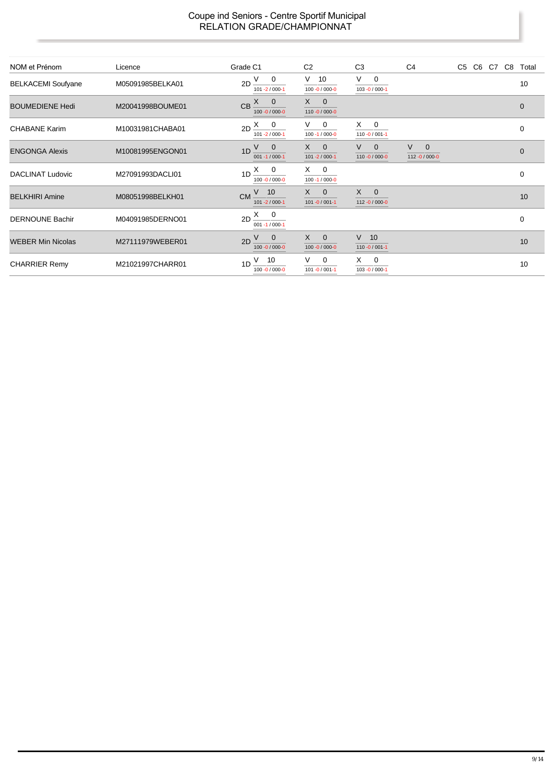| NOM et Prénom             | Licence          | Grade C1                                        | C <sub>2</sub>                      | C <sub>3</sub>                      | C <sub>4</sub>                   | C5 C6 C7 C8 Total |              |
|---------------------------|------------------|-------------------------------------------------|-------------------------------------|-------------------------------------|----------------------------------|-------------------|--------------|
| <b>BELKACEMI Soufyane</b> | M05091985BELKA01 | $2D \frac{V}{V}$ 0<br>$101 - 2 / 000 - 1$       | V<br>10<br>100 -0 / 000-0           | V<br>$\mathbf{0}$<br>103 -0 / 000-1 |                                  |                   | 10           |
| <b>BOUMEDIENE Hedi</b>    | M20041998BOUME01 | $CB \xrightarrow{X} 0$<br>$100 - 0 / 000 - 0$   | $X \quad 0$<br>$110 - 0 / 000 - 0$  |                                     |                                  |                   | $\mathbf{0}$ |
| <b>CHABANE Karim</b>      | M10031981CHABA01 | $2D \frac{X}{Q}$<br>$101 - 2 / 000 - 1$         | $V \quad 0$<br>$100 - 1 / 000 - 0$  | $X \quad 0$<br>$110 - 0 / 001 - 1$  |                                  |                   | $\mathbf 0$  |
| <b>ENGONGA Alexis</b>     | M10081995ENGON01 | $1D \frac{V}{V}$ 0<br>$001 - 1 / 000 - 1$       | $X \quad 0$<br>$101 - 2 / 000 - 1$  | $V \quad 0$<br>$110 - 0 / 000 - 0$  | $V \quad 0$<br>$112 - 0/000 - 0$ |                   | $\mathbf{0}$ |
| <b>DACLINAT Ludovic</b>   | M27091993DACLI01 | $1D \xrightarrow{X} 0$<br>100 -0 / 000-0        | $X \quad 0$<br>$100 - 1 / 000 - 0$  |                                     |                                  |                   | $\mathbf 0$  |
| <b>BELKHIRI Amine</b>     | M08051998BELKH01 | $CM \frac{V}{V}$ 10<br>$101 - 2 / 000 - 1$      | $X \qquad 0$<br>$101 - 0 / 001 - 1$ | $X \quad 0$<br>$112 - 0/000 - 0$    |                                  |                   | 10           |
| <b>DERNOUNE Bachir</b>    | M04091985DERNO01 | $2D \frac{X}{1}$<br>$001 - 1 / 000 - 1$         |                                     |                                     |                                  |                   | 0            |
| <b>WEBER Min Nicolas</b>  | M27111979WEBER01 | $2D \frac{V}{V} = 0$<br>100 -0 / 000-0          | $X \quad 0$<br>100 -0 / 000-0       | $V$ 10<br>$110 - 0 / 001 - 1$       |                                  |                   | 10           |
| <b>CHARRIER Remy</b>      | M21021997CHARR01 | $V$ 10<br>1 <sub>D</sub><br>$100 - 0 / 000 - 0$ | $V \quad 0$<br>$101 - 0 / 001 - 1$  | $X \quad 0$<br>103 - 0 / 000-1      |                                  |                   | 10           |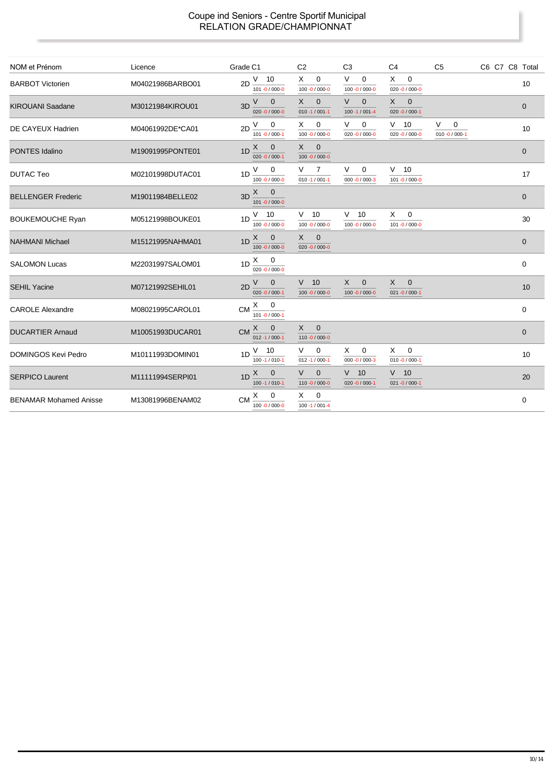| NOM et Prénom                 | Licence          | Grade C1                                                         | C <sub>2</sub>                                | C <sub>3</sub>                                | C <sub>4</sub>                                 | C <sub>5</sub>                | C6 C7 C8 Total |
|-------------------------------|------------------|------------------------------------------------------------------|-----------------------------------------------|-----------------------------------------------|------------------------------------------------|-------------------------------|----------------|
| <b>BARBOT Victorien</b>       | M04021986BARBO01 | V<br>10<br>2D<br>$101 - 0 / 000 - 0$                             | X<br>$\mathbf 0$<br>100 -0 / 000-0            | V<br>$\mathbf 0$<br>100 -0 / 000-0            | X<br>$\mathbf 0$<br>$020 - 0 / 000 - 0$        |                               | 10             |
| <b>KIROUANI Saadane</b>       | M30121984KIROU01 | V<br>$\overline{0}$<br>3D<br>020 -0 / 000-0                      | X<br>$\mathbf 0$<br>$010 - 1 / 001 - 1$       | V<br>$\mathbf{0}$<br>100 - 1 / 001 - 4        | X<br>$\mathbf{0}$<br>$020 - 0 / 000 - 1$       |                               | $\mathbf 0$    |
| DE CAYEUX Hadrien             | M04061992DE*CA01 | V<br>0<br>2D<br>$101 - 0 / 000 - 1$                              | $\overline{0}$<br>X.<br>100 -0 / 000-0        | V<br>0<br>$020 - 0 / 000 - 0$                 | $V$ 10<br>$020 - 0 / 000 - 0$                  | V<br>0<br>$010 - 0 / 000 - 1$ | 10             |
| <b>PONTES Idalino</b>         | M19091995PONTE01 | $1D$ $X$<br>$\mathbf 0$<br>$020 - 0 / 000 - 1$                   | $X \quad 0$<br>100 -0 / 000-0                 |                                               |                                                |                               | $\mathbf{0}$   |
| <b>DUTAC Teo</b>              | M02101998DUTAC01 | V<br>0<br>1D<br>$100 - 0 / 000 - 0$                              | V<br>$\overline{7}$<br>$010 - 1 / 001 - 1$    | V<br>$\mathbf 0$<br>$000 - 0 / 000 - 3$       | $V$ 10<br>101 -0 / 000-0                       |                               | 17             |
| <b>BELLENGER Frederic</b>     | M19011984BELLE02 | $\mathsf{X}$<br>$\overline{\phantom{0}}$<br>3D<br>101 -0 / 000-0 |                                               |                                               |                                                |                               | $\mathbf{0}$   |
| <b>BOUKEMOUCHE Ryan</b>       | M05121998BOUKE01 | $V$ 10<br>1D<br>100 -0 / 000-0                                   | $V$ 10<br>100 -0 / 000-0                      | $V$ 10<br>100 -0 / 000-0                      | X<br>$\mathbf 0$<br>101 -0 / 000-0             |                               | 30             |
| <b>NAHMANI Michael</b>        | M15121995NAHMA01 | $1D \frac{X}{Y}$<br>$\overline{0}$<br>100 -0 / 000-0             | $X \quad 0$<br>020 -0 / 000-0                 |                                               |                                                |                               | $\mathbf{0}$   |
| <b>SALOMON Lucas</b>          | M22031997SALOM01 | $1D \stackrel{X}{\longrightarrow} 0$<br>020 $-0/000-0$           |                                               |                                               |                                                |                               | $\mathbf 0$    |
| <b>SEHIL Yacine</b>           | M07121992SEHIL01 | V<br>$\mathbf 0$<br>2D<br>$020 - 0 / 000 - 1$                    | $V$ 10<br>100 -0 / 000-0                      | $\mathsf{X}$<br>$\mathbf 0$<br>100 -0 / 000-0 | $\times$<br>$\mathbf 0$<br>$021 - 0 / 000 - 1$ |                               | 10             |
| <b>CAROLE Alexandre</b>       | M08021995CAROL01 | X<br>$\overline{\mathbf{0}}$<br><b>CM</b><br>$101 - 0 / 000 - 1$ |                                               |                                               |                                                |                               | $\mathbf 0$    |
| <b>DUCARTIER Arnaud</b>       | M10051993DUCAR01 | $\mathbf 0$<br>X<br><b>CM</b><br>$012 - 1 / 000 - 1$             | $X \qquad 0$<br>110 -0 / 000-0                |                                               |                                                |                               | $\mathbf 0$    |
| <b>DOMINGOS Kevi Pedro</b>    | M10111993DOMIN01 | $V$ 10<br>1 <sub>D</sub><br>$100 - 1 / 010 - 1$                  | V –<br>$\overline{0}$<br>$012 - 1 / 000 - 1$  | X<br>0<br>000 -0 / 000-3                      | X<br>0<br>$010 - 0 / 000 - 1$                  |                               | 10             |
| <b>SERPICO Laurent</b>        | M11111994SERPI01 | X<br>$\overline{0}$<br>1 <sub>D</sub><br>100 - 1 / 010-1         | $\vee$<br>$\mathbf{0}$<br>$110 - 0 / 000 - 0$ | $V$ 10<br>$020 - 0 / 000 - 1$                 | $V$ 10<br>$021 - 0 / 000 - 1$                  |                               | 20             |
| <b>BENAMAR Mohamed Anisse</b> | M13081996BENAM02 | X<br>$\mathbf 0$<br><b>CM</b><br>$100 - 0 / 000 - 0$             | X<br>$\overline{0}$<br>$100 - 1 / 001 - 4$    |                                               |                                                |                               | 0              |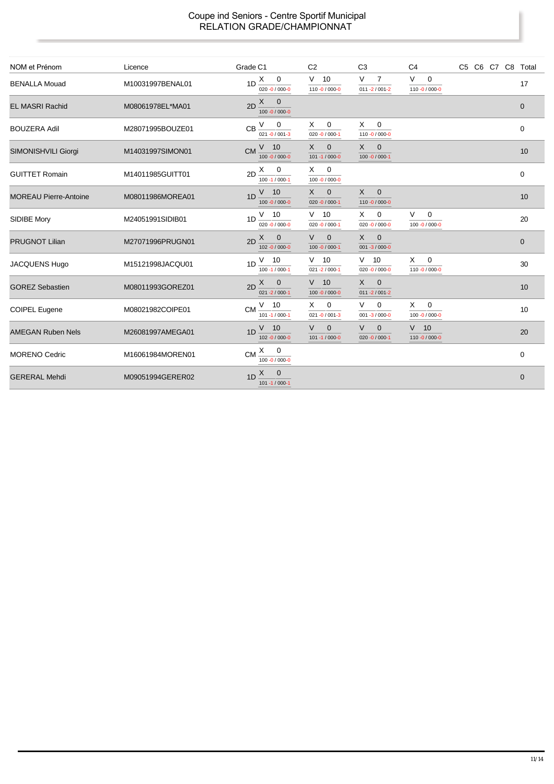| NOM et Prénom                | Licence          | Grade C1                                         | C <sub>2</sub>                                  | C <sub>3</sub>                                      | C <sub>4</sub>                          | C5 C6 C7 C8 Total |              |
|------------------------------|------------------|--------------------------------------------------|-------------------------------------------------|-----------------------------------------------------|-----------------------------------------|-------------------|--------------|
| <b>BENALLA Mouad</b>         | M10031997BENAL01 | $1D \xrightarrow{X} 0$<br>020 $-0/000-0$         | $V$ 10<br>110 -0 / 000-0                        | V<br>$\overline{7}$<br>$011 - 2 / 001 - 2$          | V<br>$\mathbf 0$<br>110 -0 / 000-0      |                   | 17           |
| <b>EL MASRI Rachid</b>       | M08061978EL*MA01 | $2D \frac{X}{Y} 0$<br>$100 - 0 / 000 - 0$        |                                                 |                                                     |                                         |                   | $\mathbf{0}$ |
| <b>BOUZERA Adil</b>          | M28071995BOUZE01 | V<br>$\mathbf 0$<br>CB<br>$021 - 0 / 001 - 3$    | $\mathbf{0}$<br>X.<br>$020 - 0 / 000 - 1$       | X<br>$\mathbf 0$<br>110 -0 / 000-0                  |                                         |                   | $\mathbf 0$  |
| SIMONISHVILI Giorgi          | M14031997SIMON01 | $V$ 10<br><b>CM</b><br>100 -0 / 000-0            | $\times$<br>$\mathbf 0$<br>$101 - 1 / 000 - 0$  | $\mathbf 0$<br>$\times$<br>$100 - 0 / 000 - 1$      |                                         |                   | 10           |
| <b>GUITTET Romain</b>        | M14011985GUITT01 | $\mathbf 0$<br>X<br>2D<br>$100 - 1 / 000 - 1$    | 0<br>X<br>100 -0 / 000-0                        |                                                     |                                         |                   | $\mathbf 0$  |
| <b>MOREAU Pierre-Antoine</b> | M08011986MOREA01 | $V$ 10<br>1D<br>100 -0 / 000-0                   | X<br>$\mathbf 0$<br>$020 - 0 / 000 - 1$         | $\mathsf{X}$<br>$\overline{0}$<br>110 -0 / 000-0    |                                         |                   | 10           |
| <b>SIDIBE Mory</b>           | M24051991SIDIB01 | $1D \frac{V}{V}$ 10<br>020 $-0/000-0$            | $V$ 10<br>$020 - 0 / 000 - 1$                   | 0<br>X.<br>$020 - 0 / 000 - 0$                      | V —<br>$\overline{0}$<br>100 -0 / 000-0 |                   | 20           |
| <b>PRUGNOT Lilian</b>        | M27071996PRUGN01 | $2D \frac{X}{Y} 0$<br>$102 - 0 / 000 - 0$        | $\vee$<br>$\overline{0}$<br>$100 - 0 / 000 - 1$ | $\mathsf{X}$<br>$\overline{0}$<br>001 -3 / 000-0    |                                         |                   | $\mathbf 0$  |
| <b>JACQUENS Hugo</b>         | M15121998JACQU01 | $V$ 10<br>1 <sub>D</sub><br>$100 - 1 / 000 - 1$  | $V$ 10<br>$021 - 2 / 000 - 1$                   | $V$ 10<br>$020 - 0 / 000 - 0$                       | $\overline{0}$<br>X.<br>110 -0 / 000-0  |                   | 30           |
| <b>GOREZ Sebastien</b>       | M08011993GOREZ01 | $X \quad 0$<br>2D<br>$021 - 2 / 000 - 1$         | $V$ 10<br>$100 - 0 / 000 - 0$                   | $\mathsf{X}$<br>$\mathbf{0}$<br>$011 - 2 / 001 - 2$ |                                         |                   | 10           |
| <b>COIPEL Eugene</b>         | M08021982COIPE01 | $CM \frac{V}{V}$ 10<br>$101 - 1 / 000 - 1$       | X.<br>$\overline{0}$<br>$021 - 0 / 001 - 3$     | V<br>0<br>$001 - 3 / 000 - 0$                       | $\mathbf 0$<br>X<br>100 -0 / 000-0      |                   | 10           |
| <b>AMEGAN Ruben Nels</b>     | M26081997AMEGA01 | $V$ 10<br>1D<br>$102 - 0 / 000 - 0$              | V<br>$\mathbf 0$<br>$101 - 1 / 000 - 0$         | $\vee$<br>$\mathbf{0}$<br>$020 - 0 / 000 - 1$       | $V$ 10<br>110 -0 / 000-0                |                   | 20           |
| <b>MORENO Cedric</b>         | M16061984MOREN01 | $X \qquad 0$<br><b>CM</b><br>$100 - 0 / 000 - 0$ |                                                 |                                                     |                                         |                   | 0            |
| <b>GERERAL Mehdi</b>         | M09051994GERER02 | X<br>$\mathbf 0$<br>1D<br>$101 - 1 / 000 - 1$    |                                                 |                                                     |                                         |                   | $\mathbf 0$  |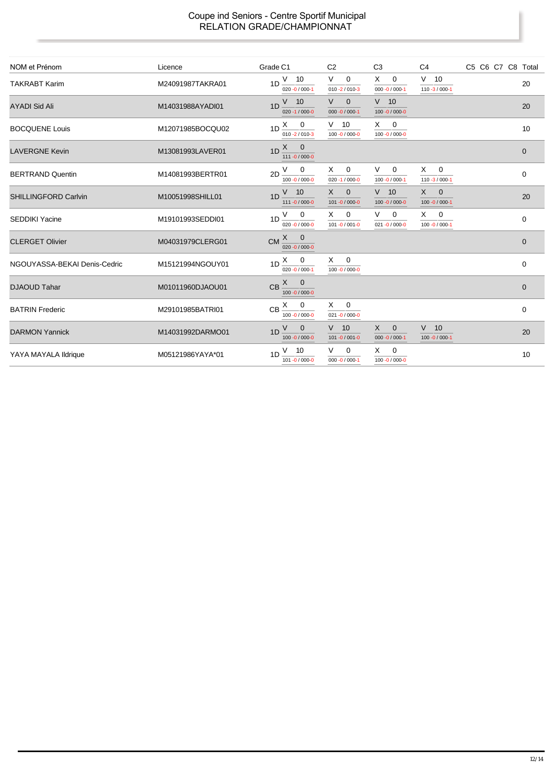| NOM et Prénom                | Licence          | Grade C1                                                         | C <sub>2</sub>                               | C <sub>3</sub>                          | C <sub>4</sub>                     | C5 C6 C7 C8 Total |              |
|------------------------------|------------------|------------------------------------------------------------------|----------------------------------------------|-----------------------------------------|------------------------------------|-------------------|--------------|
| <b>TAKRABT Karim</b>         | M24091987TAKRA01 | $1D \frac{V}{10}$<br>$020 - 0 / 000 - 1$                         | V<br>$\mathbf 0$<br>$010 - 2 / 010 - 3$      | X<br>$\mathbf 0$<br>$000 - 0 / 000 - 1$ | $V$ 10<br>$110 - 3 / 000 - 1$      |                   | 20           |
| <b>AYADI Sid Ali</b>         | M14031988AYADI01 | $V$ 10<br>1D<br>$020 - 1 / 000 - 0$                              | V<br>$\overline{0}$<br>$000 - 0 / 000 - 1$   | $V$ 10<br>100 -0 / 000-0                |                                    |                   | 20           |
| <b>BOCQUENE Louis</b>        | M12071985BOCQU02 | $1D \xrightarrow{X} 0$<br>$010 - 2 / 010 - 3$                    | $V$ 10<br>100 -0 / 000-0                     | $X \quad 0$<br>100 -0 / 000-0           |                                    |                   | 10           |
| <b>LAVERGNE Kevin</b>        | M13081993LAVER01 | $1D \begin{bmatrix} X & 0 \end{bmatrix}$<br>111 -0 / 000-0       |                                              |                                         |                                    |                   | $\mathbf 0$  |
| <b>BERTRAND Quentin</b>      | M14081993BERTR01 | $2D \stackrel{V}{\underline{\quad}} 0$<br>$100 - 0 / 000 - 0$    | $X \quad 0$<br>$020 - 1 / 000 - 0$           | V –<br>$\mathbf 0$<br>100 -0 / 000-1    | $X \quad 0$<br>$110 - 3 / 000 - 1$ |                   | 0            |
| <b>SHILLINGFORD Carlvin</b>  | M10051998SHILL01 | $V$ 10<br>1 <sub>D</sub><br>111 -0 / 000-0                       | $X \quad 0$<br>101 -0 / 000-0                | $V$ 10<br>100 -0 / 000-0                | $X \quad 0$<br>100 -0 / 000-1      |                   | 20           |
| <b>SEDDIKI Yacine</b>        | M19101993SEDDI01 | $1D \frac{V}{V} = 0$<br>$020 - 0 / 000 - 0$                      | $X \quad 0$<br>$101 - 0 / 001 - 0$           | V<br>$\mathbf 0$<br>$021 - 0 / 000 - 0$ | $X \quad 0$<br>100 -0 / 000-1      |                   | 0            |
| <b>CLERGET Olivier</b>       | M04031979CLERG01 | $CM \xrightarrow{X} 0$<br>020 $-0/000-0$                         |                                              |                                         |                                    |                   | $\mathbf{0}$ |
| NGOUYASSA-BEKAI Denis-Cedric | M15121994NGOUY01 | $1D \stackrel{X}{\longrightarrow} 0$<br>$020 - 0 / 000 - 1$      | $X \qquad 0$<br>100 -0 / 000-0               |                                         |                                    |                   | $\mathbf 0$  |
| <b>DJAOUD Tahar</b>          | M01011960DJAOU01 | $CB \xrightarrow{X} 0$<br>$100 - 0 / 000 - 0$                    |                                              |                                         |                                    |                   | $\mathbf{0}$ |
| <b>BATRIN Frederic</b>       | M29101985BATRI01 | $CB \xrightarrow{X} 0$<br>$100 - 0 / 000 - 0$                    | $\overline{0}$<br>X —<br>$021 - 0 / 000 - 0$ |                                         |                                    |                   | 0            |
| <b>DARMON Yannick</b>        | M14031992DARMO01 | V<br>$\overline{\mathbf{0}}$<br>1 <sub>D</sub><br>100 -0 / 000-0 | $V$ 10<br>101 -0 / 001 -0                    | $X \quad 0$<br>$000 - 0 / 000 - 1$      | $V$ 10<br>$100 - 0 / 000 - 1$      |                   | 20           |
| YAYA MAYALA Ildrique         | M05121986YAYA*01 | $V$ 10<br>1D<br>101 -0 / 000-0                                   | $\mathbf 0$<br>$000 - 0 / 000 - 1$           | $\mathbf{0}$<br>X<br>100 -0 / 000-0     |                                    |                   | 10           |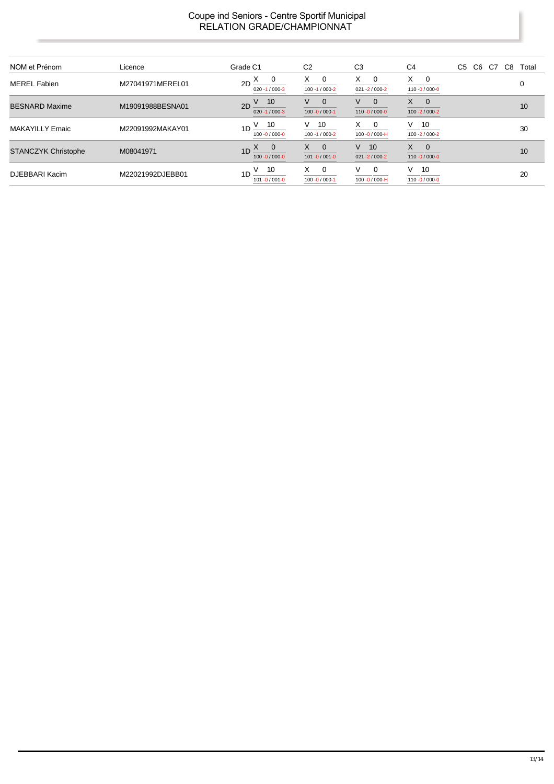| NOM et Prénom              | Licence          | Grade C1                                                | C <sub>2</sub>                                       | C <sub>3</sub>                       | C <sub>4</sub>                                    | C <sub>5</sub><br>C <sub>6</sub><br>C8<br>C7<br>Total |
|----------------------------|------------------|---------------------------------------------------------|------------------------------------------------------|--------------------------------------|---------------------------------------------------|-------------------------------------------------------|
| <b>MEREL Fabien</b>        | M27041971MEREL01 | - 0<br>2D<br>$020 - 1 / 000 - 3$                        | X<br>0<br>100 - 1 / 000 - 2                          | X.<br>0<br>$021 - 2 / 000 - 2$       | X.<br>$\mathbf 0$<br>110 -0 / 000-0               | 0                                                     |
| <b>BESNARD Maxime</b>      | M19091988BESNA01 | 10<br>2D<br>$020 - 1 / 000 - 3$                         | V<br>$\Omega$<br>$100 - 0 / 000 - 1$                 | $\Omega$<br>V<br>$110 - 0 / 000 - 0$ | $\mathsf{X}$<br>$\mathbf{0}$<br>100 - 2 / 000 - 2 | 10                                                    |
| MAKAYILLY Emaic            | M22091992MAKAY01 | 10<br>1D<br>$100 - 0 / 000 - 0$                         | V<br>10<br>100 - 1 / 000 - 2                         | X<br>$\Omega$<br>100 $-0/000-H$      | V.<br>10<br>100 - 2 / 000 - 2                     | 30                                                    |
| <b>STANCZYK Christophe</b> | M08041971        | $\overline{0}$<br>1D $\triangle$<br>$100 - 0 / 000 - 0$ | X<br>$\overline{\phantom{0}}$<br>$101 - 0 / 001 - 0$ | 10<br>V<br>$021 - 2 / 000 - 2$       | X<br>$\mathbf{0}$<br>110 -0 / 000-0               | 10                                                    |
| DJEBBARI Kacim             | M22021992DJEBB01 | -10<br>1 <sub>D</sub><br>101 -0 / 001-0                 | X<br>$\Omega$<br>$100 - 0 / 000 - 1$                 | $\Omega$<br>V<br>100 -0 / 000-H      | $V$ 10<br>110 -0 / 000-0                          | 20                                                    |